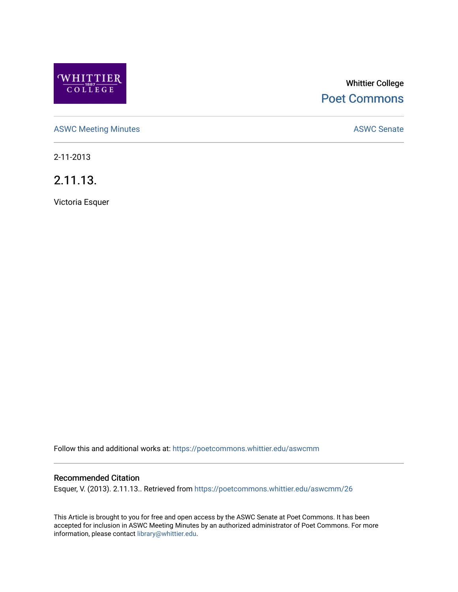

# Whittier College [Poet Commons](https://poetcommons.whittier.edu/)

[ASWC Meeting Minutes](https://poetcommons.whittier.edu/aswcmm) **ASWC Senate** 

2-11-2013

2.11.13.

Victoria Esquer

Follow this and additional works at: [https://poetcommons.whittier.edu/aswcmm](https://poetcommons.whittier.edu/aswcmm?utm_source=poetcommons.whittier.edu%2Faswcmm%2F26&utm_medium=PDF&utm_campaign=PDFCoverPages)

## Recommended Citation

Esquer, V. (2013). 2.11.13.. Retrieved from [https://poetcommons.whittier.edu/aswcmm/26](https://poetcommons.whittier.edu/aswcmm/26?utm_source=poetcommons.whittier.edu%2Faswcmm%2F26&utm_medium=PDF&utm_campaign=PDFCoverPages) 

This Article is brought to you for free and open access by the ASWC Senate at Poet Commons. It has been accepted for inclusion in ASWC Meeting Minutes by an authorized administrator of Poet Commons. For more information, please contact [library@whittier.edu.](mailto:library@whittier.edu)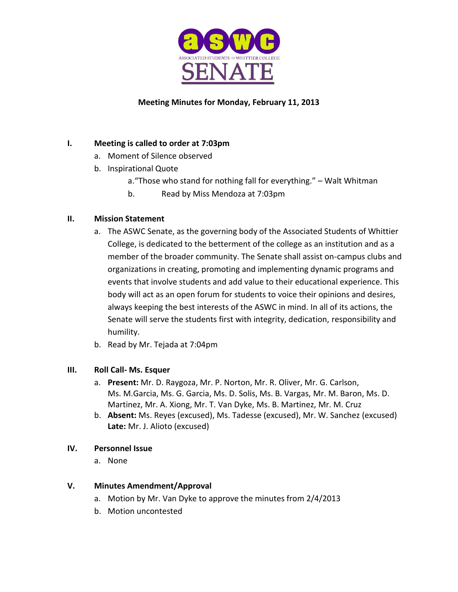

# **Meeting Minutes for Monday, February 11, 2013**

# **I. Meeting is called to order at 7:03pm**

- a. Moment of Silence observed
- b. Inspirational Quote
	- a."Those who stand for nothing fall for everything." Walt Whitman
	- b. Read by Miss Mendoza at 7:03pm

# **II. Mission Statement**

- a. The ASWC Senate, as the governing body of the Associated Students of Whittier College, is dedicated to the betterment of the college as an institution and as a member of the broader community. The Senate shall assist on-campus clubs and organizations in creating, promoting and implementing dynamic programs and events that involve students and add value to their educational experience. This body will act as an open forum for students to voice their opinions and desires, always keeping the best interests of the ASWC in mind. In all of its actions, the Senate will serve the students first with integrity, dedication, responsibility and humility.
- b. Read by Mr. Tejada at 7:04pm

# **III. Roll Call- Ms. Esquer**

- a. **Present:** Mr. D. Raygoza, Mr. P. Norton, Mr. R. Oliver, Mr. G. Carlson, Ms. M.Garcia, Ms. G. Garcia, Ms. D. Solis, Ms. B. Vargas, Mr. M. Baron, Ms. D. Martinez, Mr. A. Xiong, Mr. T. Van Dyke, Ms. B. Martinez, Mr. M. Cruz
- b. **Absent:** Ms. Reyes (excused), Ms. Tadesse (excused), Mr. W. Sanchez (excused) **Late:** Mr. J. Alioto (excused)

# **IV. Personnel Issue**

a. None

# **V. Minutes Amendment/Approval**

- a. Motion by Mr. Van Dyke to approve the minutes from 2/4/2013
- b. Motion uncontested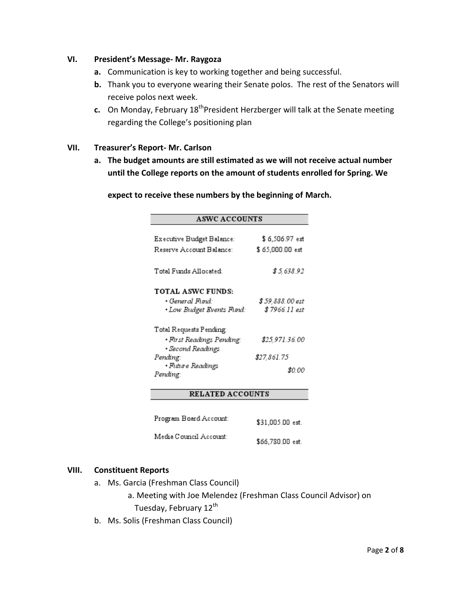## **VI. President's Message- Mr. Raygoza**

- **a.** Communication is key to working together and being successful.
- **b.** Thank you to everyone wearing their Senate polos. The rest of the Senators will receive polos next week.
- **c.** On Monday, February 18<sup>th</sup> President Herzberger will talk at the Senate meeting regarding the College's positioning plan

## **VII. Treasurer's Report- Mr. Carlson**

**a. The budget amounts are still estimated as we will not receive actual number until the College reports on the amount of students enrolled for Spring. We** 

**expect to receive these numbers by the beginning of March.**

| <b>ASWC ACCOUNTS</b>                                                     |                                    |  |
|--------------------------------------------------------------------------|------------------------------------|--|
| Executive Budget Balance:<br>Reserve Account Balance:                    | \$6,506.97 est<br>\$ 65,000.00 est |  |
| Total Funds Allocated:                                                   | \$5,638.92                         |  |
| <b>TOTAL ASWC FUNDS:</b><br>• General Fund:<br>· Low Budget Events Fund: | \$ 59.888.00 est<br>\$ 7966.11 est |  |
| Total Requests Pending:<br>• First Readings Pending:                     | \$25,971.36.00                     |  |
| • Second Readings<br>Pending:<br>• Future Readings                       | \$27,861.75                        |  |
| Pending:<br><b>RELATED ACCOUNTS</b>                                      | SO 00                              |  |
|                                                                          |                                    |  |

| Program Board Account: | \$31,005.00 est. |
|------------------------|------------------|
| Media Council Account: | \$66,780.00 est. |

#### **VIII. Constituent Reports**

- a. Ms. Garcia (Freshman Class Council)
	- a. Meeting with Joe Melendez (Freshman Class Council Advisor) on Tuesday, February 12<sup>th</sup>
- b. Ms. Solis (Freshman Class Council)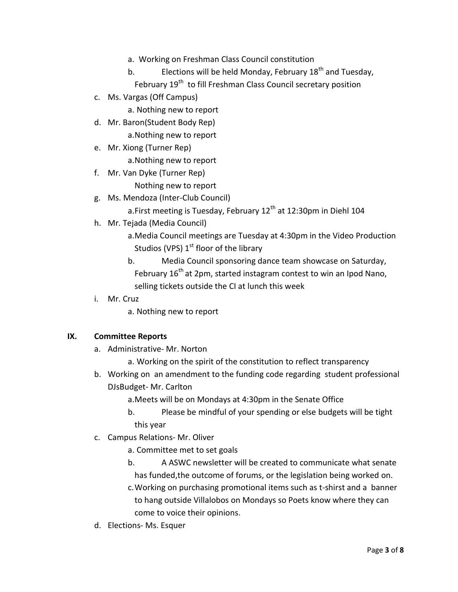- a. Working on Freshman Class Council constitution
- b. Elections will be held Monday, February  $18<sup>th</sup>$  and Tuesday,
	- February 19<sup>th</sup> to fill Freshman Class Council secretary position
- c. Ms. Vargas (Off Campus)
	- a. Nothing new to report
- d. Mr. Baron(Student Body Rep)
	- a.Nothing new to report
- e. Mr. Xiong (Turner Rep) a.Nothing new to report
- f. Mr. Van Dyke (Turner Rep)

Nothing new to report

g. Ms. Mendoza (Inter-Club Council)

a.First meeting is Tuesday, February  $12<sup>th</sup>$  at 12:30pm in Diehl 104

- h. Mr. Tejada (Media Council)
	- a.Media Council meetings are Tuesday at 4:30pm in the Video Production Studios (VPS)  $1<sup>st</sup>$  floor of the library
	- b. Media Council sponsoring dance team showcase on Saturday, February  $16<sup>th</sup>$  at 2pm, started instagram contest to win an Ipod Nano, selling tickets outside the CI at lunch this week
- i. Mr. Cruz

a. Nothing new to report

# **IX. Committee Reports**

a. Administrative- Mr. Norton

a. Working on the spirit of the constitution to reflect transparency

- b. Working on an amendment to the funding code regarding student professional DJsBudget- Mr. Carlton
	- a.Meets will be on Mondays at 4:30pm in the Senate Office
	- b. Please be mindful of your spending or else budgets will be tight this year
- c. Campus Relations- Mr. Oliver
	- a. Committee met to set goals
	- b. A ASWC newsletter will be created to communicate what senate has funded,the outcome of forums, or the legislation being worked on.
	- c.Working on purchasing promotional items such as t-shirst and a banner to hang outside Villalobos on Mondays so Poets know where they can come to voice their opinions.
- d. Elections- Ms. Esquer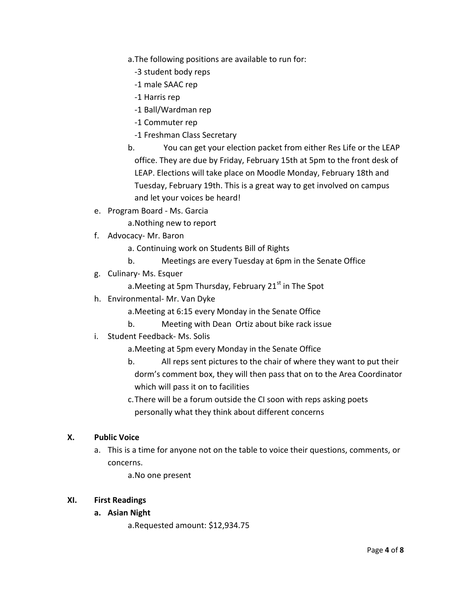- a.The following positions are available to run for:
	- -3 student body reps
	- -1 male SAAC rep
	- -1 Harris rep
	- -1 Ball/Wardman rep
	- -1 Commuter rep
	- -1 Freshman Class Secretary
- b. You can get your election packet from either Res Life or the LEAP office. They are due by Friday, February 15th at 5pm to the front desk of LEAP. Elections will take place on Moodle Monday, February 18th and Tuesday, February 19th. This is a great way to get involved on campus and let your voices be heard!
- e. Program Board Ms. Garcia
	- a.Nothing new to report
- f. Advocacy- Mr. Baron
	- a. Continuing work on Students Bill of Rights
	- b. Meetings are every Tuesday at 6pm in the Senate Office
- g. Culinary- Ms. Esquer
	- a. Meeting at 5pm Thursday, February 21 $^{\rm st}$  in The Spot
- h. Environmental- Mr. Van Dyke
	- a.Meeting at 6:15 every Monday in the Senate Office
	- b. Meeting with Dean Ortiz about bike rack issue
- i. Student Feedback- Ms. Solis
	- a.Meeting at 5pm every Monday in the Senate Office
	- b. All reps sent pictures to the chair of where they want to put their dorm's comment box, they will then pass that on to the Area Coordinator which will pass it on to facilities
	- c.There will be a forum outside the CI soon with reps asking poets personally what they think about different concerns

## **X. Public Voice**

a. This is a time for anyone not on the table to voice their questions, comments, or concerns.

a.No one present

## **XI. First Readings**

## **a. Asian Night**

a.Requested amount: \$12,934.75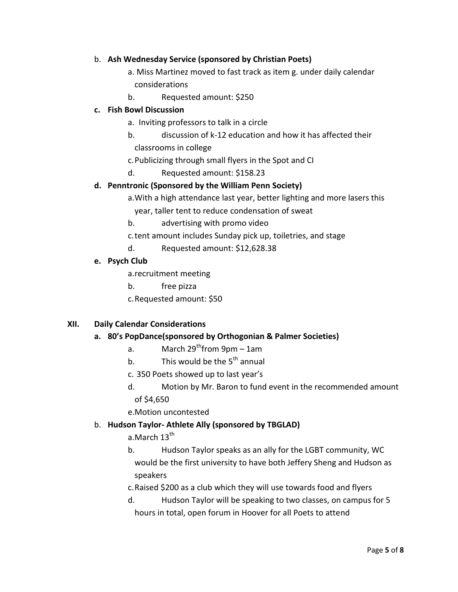## b. **Ash Wednesday Service (sponsored by Christian Poets)**

a. Miss Martinez moved to fast track as item g. under daily calendar considerations

b. Requested amount: \$250

## **c. Fish Bowl Discussion**

- a. Inviting professors to talk in a circle
- b. discussion of k-12 education and how it has affected their
- classrooms in college
- c.Publicizing through small flyers in the Spot and CI
- d. Requested amount: \$158.23

## **d. Penntronic (Sponsored by the William Penn Society)**

a.With a high attendance last year, better lighting and more lasers this

year, taller tent to reduce condensation of sweat

- b. advertising with promo video
- c.tent amount includes Sunday pick up, toiletries, and stage
- d. Requested amount: \$12,628.38

# **e. Psych Club**

a.recruitment meeting

- b. free pizza
- c.Requested amount: \$50

# **XII. Daily Calendar Considerations**

## **a. 80's PopDance(sponsored by Orthogonian & Palmer Societies)**

- a. March  $29^{th}$ from  $9$ pm 1am
- b. This would be the  $5^{th}$  annual
- c. 350 Poets showed up to last year's
- d. Motion by Mr. Baron to fund event in the recommended amount of \$4,650
- e.Motion uncontested

# b. **Hudson Taylor- Athlete Ally (sponsored by TBGLAD)**

a.March  $13^{\text{th}}$ 

b. Hudson Taylor speaks as an ally for the LGBT community, WC would be the first university to have both Jeffery Sheng and Hudson as speakers

- c.Raised \$200 as a club which they will use towards food and flyers
- d. Hudson Taylor will be speaking to two classes, on campus for 5 hours in total, open forum in Hoover for all Poets to attend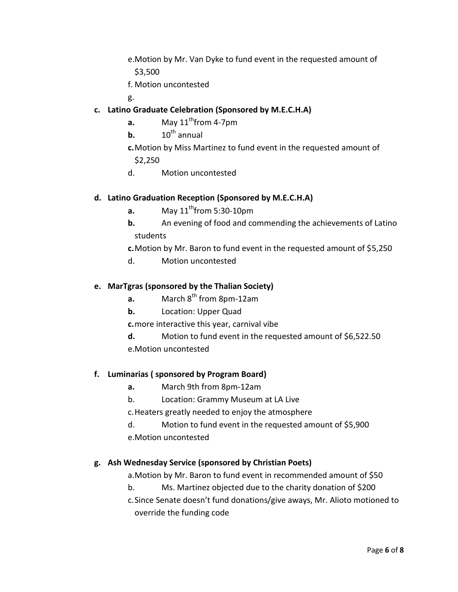- e.Motion by Mr. Van Dyke to fund event in the requested amount of \$3,500
- f. Motion uncontested
- g.
- **c. Latino Graduate Celebration (Sponsored by M.E.C.H.A)**
	- **a.** May  $11^{th}$  from 4-7pm
	- **b.**  $10^{th}$  annual
	- **c.**Motion by Miss Martinez to fund event in the requested amount of \$2,250
	- d. Motion uncontested

## **d. Latino Graduation Reception (Sponsored by M.E.C.H.A)**

- **a.** May  $11^{th}$  from 5:30-10pm
- **b.** An evening of food and commending the achievements of Latino students

**c.**Motion by Mr. Baron to fund event in the requested amount of \$5,250

d. Motion uncontested

## **e. MarTgras (sponsored by the Thalian Society)**

- **a.** March 8<sup>th</sup> from 8pm-12am
- **b.** Location: Upper Quad

**c.**more interactive this year, carnival vibe

- **d.** Motion to fund event in the requested amount of \$6,522.50
- e.Motion uncontested

## **f. Luminarias ( sponsored by Program Board)**

- **a.** March 9th from 8pm-12am
- b. Location: Grammy Museum at LA Live
- c.Heaters greatly needed to enjoy the atmosphere
- d. Motion to fund event in the requested amount of \$5,900 e.Motion uncontested

# **g. Ash Wednesday Service (sponsored by Christian Poets)**

a.Motion by Mr. Baron to fund event in recommended amount of \$50

b. Ms. Martinez objected due to the charity donation of \$200

c.Since Senate doesn't fund donations/give aways, Mr. Alioto motioned to override the funding code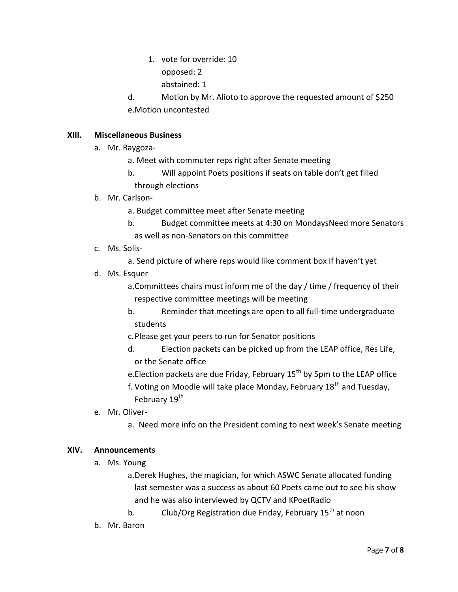- 1. vote for override: 10
	- opposed: 2
	- abstained: 1
- d. Motion by Mr. Alioto to approve the requested amount of \$250 e.Motion uncontested

## **XIII. Miscellaneous Business**

- a. Mr. Raygoza
	- a. Meet with commuter reps right after Senate meeting
	- b. Will appoint Poets positions if seats on table don't get filled through elections

## b. Mr. Carlson-

- a. Budget committee meet after Senate meeting
- b. Budget committee meets at 4:30 on MondaysNeed more Senators as well as non-Senators on this committee
- c. Ms. Solis
	- a. Send picture of where reps would like comment box if haven't yet
- d. Ms. Esquer
	- a.Committees chairs must inform me of the day / time / frequency of their respective committee meetings will be meeting
	- b. Reminder that meetings are open to all full-time undergraduate students
	- c.Please get your peers to run for Senator positions
	- d. Election packets can be picked up from the LEAP office, Res Life, or the Senate office
	- e. Election packets are due Friday, February  $15<sup>th</sup>$  by 5pm to the LEAP office
	- f. Voting on Moodle will take place Monday, February  $18<sup>th</sup>$  and Tuesday, February 19<sup>th</sup>
- e. Mr. Oliver
	- a. Need more info on the President coming to next week's Senate meeting

## **XIV. Announcements**

a. Ms. Young

a.Derek Hughes, the magician, for which ASWC Senate allocated funding last semester was a success as about 60 Poets came out to see his show and he was also interviewed by QCTV and KPoetRadio

- b. Club/Org Registration due Friday, February  $15<sup>th</sup>$  at noon
- b. Mr. Baron